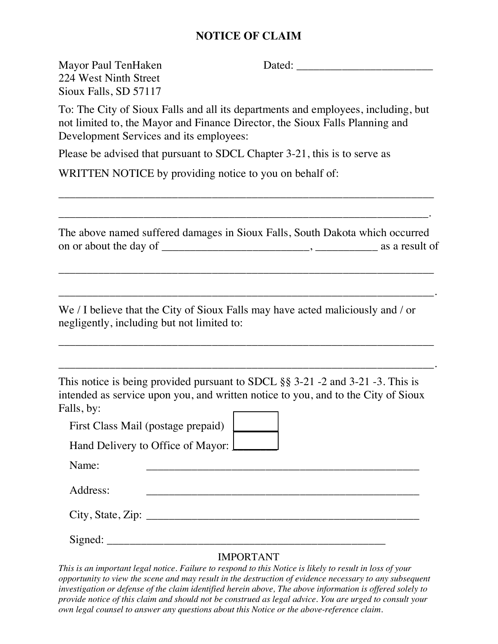### **NOTICE OF CLAIM**

224 West Ninth Street Sioux Falls, SD 57117

Mayor Paul TenHaken Dated: \_\_\_\_\_\_\_\_\_\_\_\_\_\_\_\_\_\_\_\_\_\_\_\_

To: The City of Sioux Falls and all its departments and employees, including, but not limited to, the Mayor and Finance Director, the Sioux Falls Planning and Development Services and its employees:

Please be advised that pursuant to SDCL Chapter 3-21, this is to serve as

WRITTEN NOTICE by providing notice to you on behalf of:

The above named suffered damages in Sioux Falls, South Dakota which occurred on or about the day of \_\_\_\_\_\_\_\_\_\_\_\_\_\_\_\_\_\_\_\_\_\_\_\_\_\_, \_\_\_\_\_\_\_\_\_\_\_ as a result of

\_\_\_\_\_\_\_\_\_\_\_\_\_\_\_\_\_\_\_\_\_\_\_\_\_\_\_\_\_\_\_\_\_\_\_\_\_\_\_\_\_\_\_\_\_\_\_\_\_\_\_\_\_\_\_\_\_\_\_\_\_\_\_\_\_\_

\_\_\_\_\_\_\_\_\_\_\_\_\_\_\_\_\_\_\_\_\_\_\_\_\_\_\_\_\_\_\_\_\_\_\_\_\_\_\_\_\_\_\_\_\_\_\_\_\_\_\_\_\_\_\_\_\_\_\_\_\_\_\_\_\_\_.

\_\_\_\_\_\_\_\_\_\_\_\_\_\_\_\_\_\_\_\_\_\_\_\_\_\_\_\_\_\_\_\_\_\_\_\_\_\_\_\_\_\_\_\_\_\_\_\_\_\_\_\_\_\_\_\_\_\_\_\_\_\_\_\_\_\_

\_\_\_\_\_\_\_\_\_\_\_\_\_\_\_\_\_\_\_\_\_\_\_\_\_\_\_\_\_\_\_\_\_\_\_\_\_\_\_\_\_\_\_\_\_\_\_\_\_\_\_\_\_\_\_\_\_\_\_\_\_\_\_\_\_\_.

\_\_\_\_\_\_\_\_\_\_\_\_\_\_\_\_\_\_\_\_\_\_\_\_\_\_\_\_\_\_\_\_\_\_\_\_\_\_\_\_\_\_\_\_\_\_\_\_\_\_\_\_\_\_\_\_\_\_\_\_\_\_\_\_\_\_

\_\_\_\_\_\_\_\_\_\_\_\_\_\_\_\_\_\_\_\_\_\_\_\_\_\_\_\_\_\_\_\_\_\_\_\_\_\_\_\_\_\_\_\_\_\_\_\_\_\_\_\_\_\_\_\_\_\_\_\_\_\_\_\_\_.

We / I believe that the City of Sioux Falls may have acted maliciously and / or negligently, including but not limited to:

This notice is being provided pursuant to SDCL §§ 3-21 -2 and 3-21 -3. This is intended as service upon you, and written notice to you, and to the City of Sioux Falls, by:

First Class Mail (postage prepaid)

Hand Delivery to Office of Mayor:  $\boxed{\phantom{1.5}}$ 

Name: \_\_\_\_\_\_\_\_\_\_\_\_\_\_\_\_\_\_\_\_\_\_\_\_\_\_\_\_\_\_\_\_\_\_\_\_\_\_\_\_\_\_\_\_\_\_\_\_

Address: \_\_\_\_\_\_\_\_\_\_\_\_\_\_\_\_\_\_\_\_\_\_\_\_\_\_\_\_\_\_\_\_\_\_\_\_\_\_\_\_\_\_\_\_\_\_\_\_

 $City, State, Zip:$ 

Signed: \_\_\_\_\_\_\_\_\_\_\_\_\_\_\_\_\_\_\_\_\_\_\_\_\_\_\_\_\_\_\_\_\_\_\_\_\_\_\_\_\_\_\_\_\_\_\_\_\_

#### IMPORTANT

*This is an important legal notice. Failure to respond to this Notice is likely to result in loss of your opportunity to view the scene and may result in the destruction of evidence necessary to any subsequent investigation or defense of the claim identified herein above, The above information is offered solely to provide notice of this claim and should not be construed as legal advice. You are urged to consult your own legal counsel to answer any questions about this Notice or the above-reference claim.*